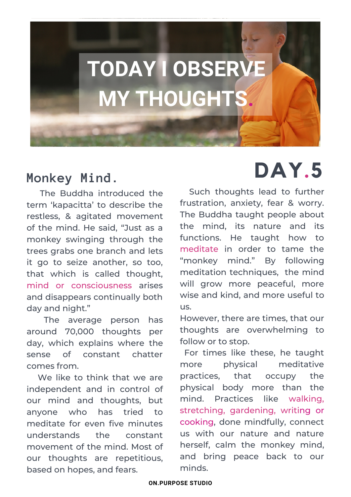

## **Monkey Mind.**

The Buddha introduced the term 'kapacitta' to describe the restless, & agitated movement of the mind. He said, "Just as a monkey swinging through the trees grabs one branch and lets it go to seize another, so too, that which is called thought, mind or consciousness arises and disappears continually both day and night."

The average person has around 70,000 thoughts per day, which explains where the sense of constant chatter comes from.

We like to think that we are independent and in control of our mind and thoughts, but anyone who has tried to meditate for even five minutes understands the constant movement of the mind. Most of our thoughts are repetitious, based on hopes, and fears.

# **DAY.5**

Such thoughts lead to further frustration, anxiety, fear & worry. The Buddha taught people about the mind, its nature and its functions. He taught how to meditate in order to tame the "monkey mind." By following meditation techniques, the mind will grow more peaceful, more wise and kind, and more useful to us.

However, there are times, that our thoughts are overwhelming to follow or to stop.

For times like these, he taught more physical meditative practices, that occupy the physical body more than the mind. Practices like walking, stretching, gardening, writing or cooking, done mindfully, connect us with our nature and nature herself, calm the monkey mind, and bring peace back to our minds.